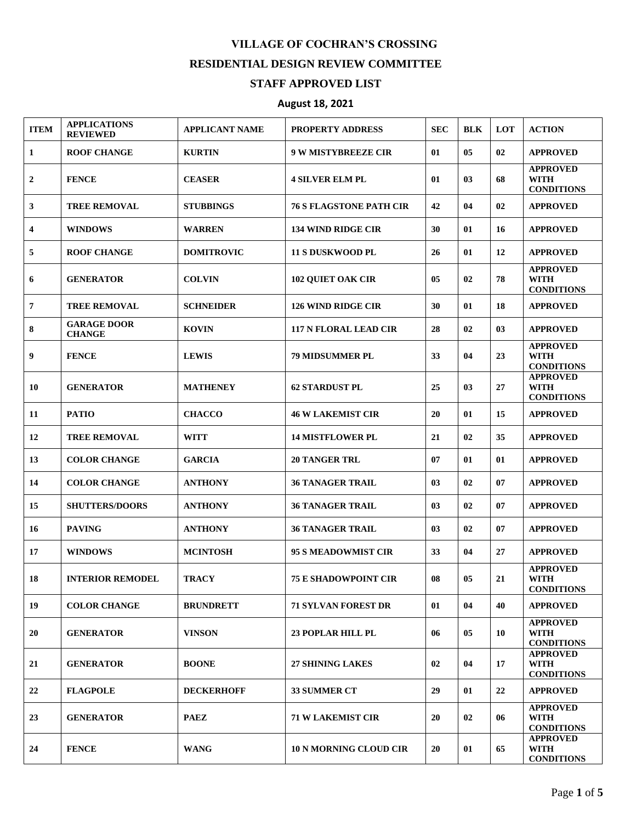## **VILLAGE OF COCHRAN'S CROSSING RESIDENTIAL DESIGN REVIEW COMMITTEE STAFF APPROVED LIST**

## **August 18, 2021**

| <b>ITEM</b>    | <b>APPLICATIONS</b><br><b>REVIEWED</b> | <b>APPLICANT NAME</b> | <b>PROPERTY ADDRESS</b>        | <b>SEC</b> | <b>BLK</b> | <b>LOT</b> | <b>ACTION</b>                                       |
|----------------|----------------------------------------|-----------------------|--------------------------------|------------|------------|------------|-----------------------------------------------------|
| 1              | <b>ROOF CHANGE</b>                     | <b>KURTIN</b>         | <b>9 W MISTYBREEZE CIR</b>     | 01         | 05         | 02         | <b>APPROVED</b>                                     |
| 2              | <b>FENCE</b>                           | <b>CEASER</b>         | <b>4 SILVER ELM PL</b>         | 01         | 03         | 68         | <b>APPROVED</b><br><b>WITH</b><br><b>CONDITIONS</b> |
| 3              | <b>TREE REMOVAL</b>                    | <b>STUBBINGS</b>      | <b>76 S FLAGSTONE PATH CIR</b> | 42         | 04         | 02         | <b>APPROVED</b>                                     |
| 4              | <b>WINDOWS</b>                         | <b>WARREN</b>         | <b>134 WIND RIDGE CIR</b>      | 30         | 01         | 16         | <b>APPROVED</b>                                     |
| 5              | <b>ROOF CHANGE</b>                     | <b>DOMITROVIC</b>     | <b>11 S DUSKWOOD PL</b>        | 26         | 01         | 12         | <b>APPROVED</b>                                     |
| 6              | <b>GENERATOR</b>                       | <b>COLVIN</b>         | <b>102 QUIET OAK CIR</b>       | 05         | 02         | 78         | <b>APPROVED</b><br><b>WITH</b><br><b>CONDITIONS</b> |
| $\overline{7}$ | <b>TREE REMOVAL</b>                    | <b>SCHNEIDER</b>      | <b>126 WIND RIDGE CIR</b>      | 30         | 01         | 18         | <b>APPROVED</b>                                     |
| 8              | <b>GARAGE DOOR</b><br><b>CHANGE</b>    | <b>KOVIN</b>          | <b>117 N FLORAL LEAD CIR</b>   | 28         | 02         | 03         | <b>APPROVED</b>                                     |
| 9              | <b>FENCE</b>                           | <b>LEWIS</b>          | <b>79 MIDSUMMER PL</b>         | 33         | 04         | 23         | <b>APPROVED</b><br><b>WITH</b><br><b>CONDITIONS</b> |
| 10             | <b>GENERATOR</b>                       | <b>MATHENEY</b>       | <b>62 STARDUST PL</b>          | 25         | 03         | 27         | <b>APPROVED</b><br><b>WITH</b><br><b>CONDITIONS</b> |
| 11             | <b>PATIO</b>                           | <b>CHACCO</b>         | <b>46 W LAKEMIST CIR</b>       | 20         | 01         | 15         | <b>APPROVED</b>                                     |
| 12             | <b>TREE REMOVAL</b>                    | <b>WITT</b>           | <b>14 MISTFLOWER PL</b>        | 21         | 02         | 35         | <b>APPROVED</b>                                     |
| 13             | <b>COLOR CHANGE</b>                    | <b>GARCIA</b>         | <b>20 TANGER TRL</b>           | 07         | 01         | 01         | <b>APPROVED</b>                                     |
| 14             | <b>COLOR CHANGE</b>                    | <b>ANTHONY</b>        | <b>36 TANAGER TRAIL</b>        | 03         | 02         | 07         | <b>APPROVED</b>                                     |
| 15             | <b>SHUTTERS/DOORS</b>                  | <b>ANTHONY</b>        | <b>36 TANAGER TRAIL</b>        | 03         | 02         | 07         | <b>APPROVED</b>                                     |
| 16             | <b>PAVING</b>                          | <b>ANTHONY</b>        | <b>36 TANAGER TRAIL</b>        | 03         | 02         | 07         | <b>APPROVED</b>                                     |
| 17             | <b>WINDOWS</b>                         | <b>MCINTOSH</b>       | <b>95 S MEADOWMIST CIR</b>     | 33         | 04         | 27         | <b>APPROVED</b>                                     |
| 18             | <b>INTERIOR REMODEL</b>                | <b>TRACY</b>          | <b>75 E SHADOWPOINT CIR</b>    | ${\bf 08}$ | 05         | 21         | <b>APPROVED</b><br><b>WITH</b><br><b>CONDITIONS</b> |
| 19             | <b>COLOR CHANGE</b>                    | <b>BRUNDRETT</b>      | <b>71 SYLVAN FOREST DR</b>     | 01         | 04         | 40         | <b>APPROVED</b>                                     |
| 20             | <b>GENERATOR</b>                       | <b>VINSON</b>         | <b>23 POPLAR HILL PL</b>       | 06         | 05         | 10         | <b>APPROVED</b><br><b>WITH</b><br><b>CONDITIONS</b> |
| 21             | <b>GENERATOR</b>                       | <b>BOONE</b>          | <b>27 SHINING LAKES</b>        | 02         | 04         | 17         | <b>APPROVED</b><br>WITH<br><b>CONDITIONS</b>        |
| 22             | <b>FLAGPOLE</b>                        | <b>DECKERHOFF</b>     | 33 SUMMER CT                   | 29         | 01         | 22         | <b>APPROVED</b>                                     |
| 23             | <b>GENERATOR</b>                       | <b>PAEZ</b>           | <b>71 W LAKEMIST CIR</b>       | 20         | 02         | 06         | <b>APPROVED</b><br><b>WITH</b><br><b>CONDITIONS</b> |
| 24             | <b>FENCE</b>                           | <b>WANG</b>           | <b>10 N MORNING CLOUD CIR</b>  | 20         | 01         | 65         | <b>APPROVED</b><br><b>WITH</b><br><b>CONDITIONS</b> |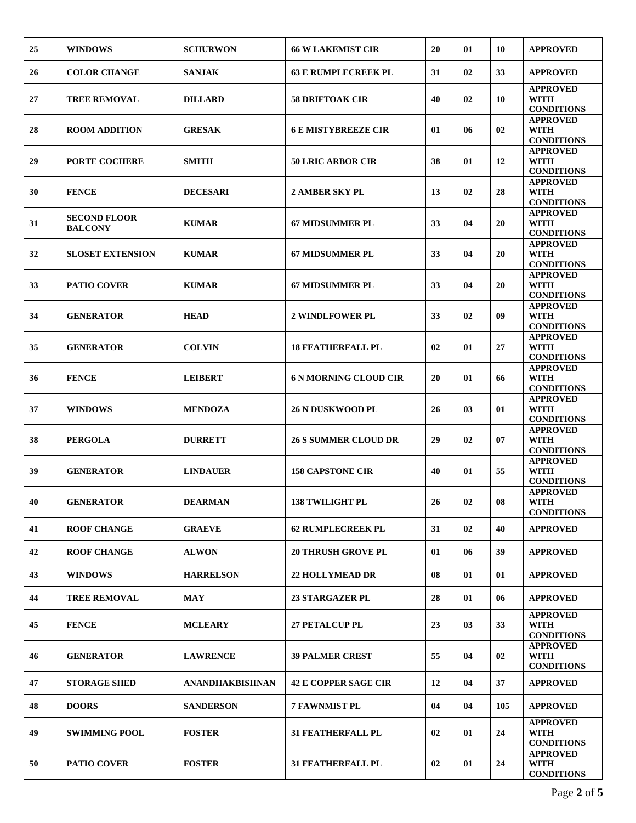| 25 | <b>WINDOWS</b>                        | <b>SCHURWON</b>  | <b>66 W LAKEMIST CIR</b>     | 20 | 01 | 10  | <b>APPROVED</b>                                     |
|----|---------------------------------------|------------------|------------------------------|----|----|-----|-----------------------------------------------------|
| 26 | <b>COLOR CHANGE</b>                   | <b>SANJAK</b>    | <b>63 E RUMPLECREEK PL</b>   | 31 | 02 | 33  | <b>APPROVED</b>                                     |
| 27 | <b>TREE REMOVAL</b>                   | <b>DILLARD</b>   | <b>58 DRIFTOAK CIR</b>       | 40 | 02 | 10  | <b>APPROVED</b><br><b>WITH</b><br><b>CONDITIONS</b> |
| 28 | <b>ROOM ADDITION</b>                  | <b>GRESAK</b>    | <b>6 E MISTYBREEZE CIR</b>   | 01 | 06 | 02  | <b>APPROVED</b><br><b>WITH</b><br><b>CONDITIONS</b> |
| 29 | <b>PORTE COCHERE</b>                  | <b>SMITH</b>     | <b>50 LRIC ARBOR CIR</b>     | 38 | 01 | 12  | <b>APPROVED</b><br><b>WITH</b><br><b>CONDITIONS</b> |
| 30 | <b>FENCE</b>                          | <b>DECESARI</b>  | 2 AMBER SKY PL               | 13 | 02 | 28  | <b>APPROVED</b><br><b>WITH</b><br><b>CONDITIONS</b> |
| 31 | <b>SECOND FLOOR</b><br><b>BALCONY</b> | <b>KUMAR</b>     | <b>67 MIDSUMMER PL</b>       | 33 | 04 | 20  | <b>APPROVED</b><br><b>WITH</b><br><b>CONDITIONS</b> |
| 32 | <b>SLOSET EXTENSION</b>               | <b>KUMAR</b>     | <b>67 MIDSUMMER PL</b>       | 33 | 04 | 20  | <b>APPROVED</b><br>WITH<br><b>CONDITIONS</b>        |
| 33 | <b>PATIO COVER</b>                    | <b>KUMAR</b>     | <b>67 MIDSUMMER PL</b>       | 33 | 04 | 20  | <b>APPROVED</b><br>WITH<br><b>CONDITIONS</b>        |
| 34 | <b>GENERATOR</b>                      | <b>HEAD</b>      | <b>2 WINDLFOWER PL</b>       | 33 | 02 | 09  | <b>APPROVED</b><br><b>WITH</b><br><b>CONDITIONS</b> |
| 35 | <b>GENERATOR</b>                      | <b>COLVIN</b>    | <b>18 FEATHERFALL PL</b>     | 02 | 01 | 27  | <b>APPROVED</b><br>WITH<br><b>CONDITIONS</b>        |
| 36 | <b>FENCE</b>                          | <b>LEIBERT</b>   | <b>6 N MORNING CLOUD CIR</b> | 20 | 01 | 66  | <b>APPROVED</b><br><b>WITH</b><br><b>CONDITIONS</b> |
| 37 | <b>WINDOWS</b>                        | <b>MENDOZA</b>   | <b>26 N DUSKWOOD PL</b>      | 26 | 03 | 01  | <b>APPROVED</b><br><b>WITH</b><br><b>CONDITIONS</b> |
| 38 | <b>PERGOLA</b>                        | <b>DURRETT</b>   | <b>26 S SUMMER CLOUD DR</b>  | 29 | 02 | 07  | <b>APPROVED</b><br><b>WITH</b><br><b>CONDITIONS</b> |
| 39 | <b>GENERATOR</b>                      | <b>LINDAUER</b>  | <b>158 CAPSTONE CIR</b>      | 40 | 01 | 55  | <b>APPROVED</b><br><b>WITH</b><br><b>CONDITIONS</b> |
| 40 | <b>GENERATOR</b>                      | <b>DEARMAN</b>   | <b>138 TWILIGHT PL</b>       | 26 | 02 | 08  | <b>APPROVED</b><br><b>WITH</b><br><b>CONDITIONS</b> |
| 41 | <b>ROOF CHANGE</b>                    | <b>GRAEVE</b>    | <b>62 RUMPLECREEK PL</b>     | 31 | 02 | 40  | <b>APPROVED</b>                                     |
| 42 | <b>ROOF CHANGE</b>                    | <b>ALWON</b>     | <b>20 THRUSH GROVE PL</b>    | 01 | 06 | 39  | <b>APPROVED</b>                                     |
| 43 | <b>WINDOWS</b>                        | <b>HARRELSON</b> | <b>22 HOLLYMEAD DR</b>       | 08 | 01 | 01  | <b>APPROVED</b>                                     |
| 44 | <b>TREE REMOVAL</b>                   | <b>MAY</b>       | <b>23 STARGAZER PL</b>       | 28 | 01 | 06  | <b>APPROVED</b>                                     |
| 45 | <b>FENCE</b>                          | <b>MCLEARY</b>   | <b>27 PETALCUP PL</b>        | 23 | 03 | 33  | <b>APPROVED</b><br>WITH<br><b>CONDITIONS</b>        |
| 46 | <b>GENERATOR</b>                      | <b>LAWRENCE</b>  | <b>39 PALMER CREST</b>       | 55 | 04 | 02  | <b>APPROVED</b><br><b>WITH</b><br><b>CONDITIONS</b> |
| 47 | <b>STORAGE SHED</b>                   | ANANDHAKBISHNAN  | <b>42 E COPPER SAGE CIR</b>  | 12 | 04 | 37  | <b>APPROVED</b>                                     |
| 48 | <b>DOORS</b>                          | <b>SANDERSON</b> | <b>7 FAWNMIST PL</b>         | 04 | 04 | 105 | <b>APPROVED</b>                                     |
| 49 | <b>SWIMMING POOL</b>                  | <b>FOSTER</b>    | <b>31 FEATHERFALL PL</b>     | 02 | 01 | 24  | <b>APPROVED</b><br><b>WITH</b><br><b>CONDITIONS</b> |
| 50 | <b>PATIO COVER</b>                    | <b>FOSTER</b>    | <b>31 FEATHERFALL PL</b>     | 02 | 01 | 24  | <b>APPROVED</b><br>WITH<br><b>CONDITIONS</b>        |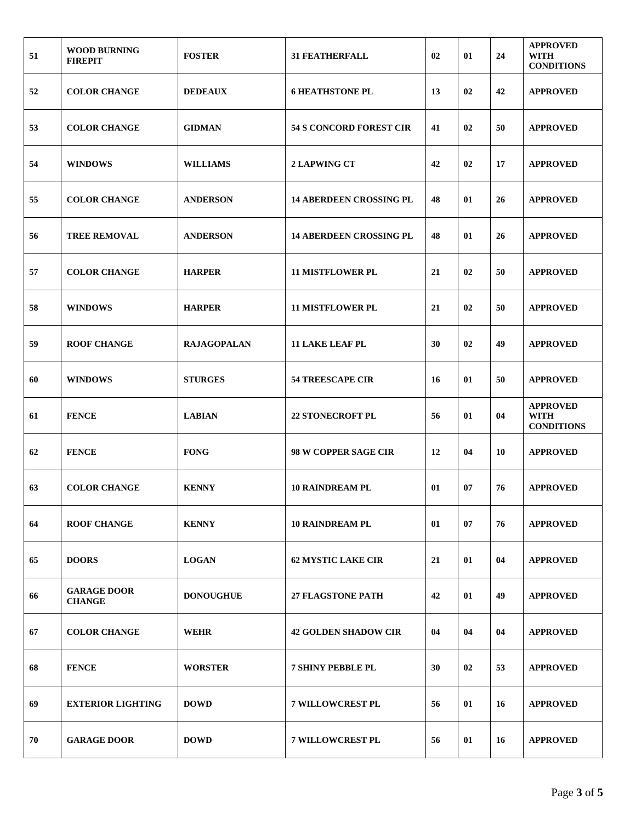| 51 | <b>WOOD BURNING</b><br><b>FIREPIT</b> | <b>FOSTER</b>      | <b>31 FEATHERFALL</b>          | 02 | 01 | 24 | <b>APPROVED</b><br>WITH<br><b>CONDITIONS</b>        |
|----|---------------------------------------|--------------------|--------------------------------|----|----|----|-----------------------------------------------------|
| 52 | <b>COLOR CHANGE</b>                   | <b>DEDEAUX</b>     | <b>6 HEATHSTONE PL</b>         | 13 | 02 | 42 | <b>APPROVED</b>                                     |
| 53 | <b>COLOR CHANGE</b>                   | <b>GIDMAN</b>      | <b>54 S CONCORD FOREST CIR</b> | 41 | 02 | 50 | <b>APPROVED</b>                                     |
| 54 | <b>WINDOWS</b>                        | <b>WILLIAMS</b>    | <b>2 LAPWING CT</b>            | 42 | 02 | 17 | <b>APPROVED</b>                                     |
| 55 | <b>COLOR CHANGE</b>                   | <b>ANDERSON</b>    | <b>14 ABERDEEN CROSSING PL</b> | 48 | 01 | 26 | <b>APPROVED</b>                                     |
| 56 | <b>TREE REMOVAL</b>                   | <b>ANDERSON</b>    | <b>14 ABERDEEN CROSSING PL</b> | 48 | 01 | 26 | <b>APPROVED</b>                                     |
| 57 | <b>COLOR CHANGE</b>                   | <b>HARPER</b>      | <b>11 MISTFLOWER PL</b>        | 21 | 02 | 50 | <b>APPROVED</b>                                     |
| 58 | <b>WINDOWS</b>                        | <b>HARPER</b>      | <b>11 MISTFLOWER PL</b>        | 21 | 02 | 50 | <b>APPROVED</b>                                     |
| 59 | <b>ROOF CHANGE</b>                    | <b>RAJAGOPALAN</b> | <b>11 LAKE LEAF PL</b>         | 30 | 02 | 49 | <b>APPROVED</b>                                     |
| 60 | <b>WINDOWS</b>                        | <b>STURGES</b>     | <b>54 TREESCAPE CIR</b>        | 16 | 01 | 50 | <b>APPROVED</b>                                     |
| 61 | <b>FENCE</b>                          | <b>LABIAN</b>      | <b>22 STONECROFT PL</b>        | 56 | 01 | 04 | <b>APPROVED</b><br><b>WITH</b><br><b>CONDITIONS</b> |
| 62 | <b>FENCE</b>                          | <b>FONG</b>        | 98 W COPPER SAGE CIR           | 12 | 04 | 10 | <b>APPROVED</b>                                     |
| 63 | <b>COLOR CHANGE</b>                   | <b>KENNY</b>       | <b>10 RAINDREAM PL</b>         | 01 | 07 | 76 | <b>APPROVED</b>                                     |
| 64 | <b>ROOF CHANGE</b>                    | <b>KENNY</b>       | <b>10 RAINDREAM PL</b>         | 01 | 07 | 76 | <b>APPROVED</b>                                     |
| 65 | <b>DOORS</b>                          | <b>LOGAN</b>       | <b>62 MYSTIC LAKE CIR</b>      | 21 | 01 | 04 | <b>APPROVED</b>                                     |
| 66 | <b>GARAGE DOOR</b><br><b>CHANGE</b>   | <b>DONOUGHUE</b>   | <b>27 FLAGSTONE PATH</b>       | 42 | 01 | 49 | <b>APPROVED</b>                                     |
| 67 | <b>COLOR CHANGE</b>                   | <b>WEHR</b>        | <b>42 GOLDEN SHADOW CIR</b>    | 04 | 04 | 04 | <b>APPROVED</b>                                     |
| 68 | <b>FENCE</b>                          | <b>WORSTER</b>     | <b>7 SHINY PEBBLE PL</b>       | 30 | 02 | 53 | <b>APPROVED</b>                                     |
| 69 | <b>EXTERIOR LIGHTING</b>              | <b>DOWD</b>        | <b>7 WILLOWCREST PL</b>        | 56 | 01 | 16 | <b>APPROVED</b>                                     |
| 70 | <b>GARAGE DOOR</b>                    | <b>DOWD</b>        | <b>7 WILLOWCREST PL</b>        | 56 | 01 | 16 | <b>APPROVED</b>                                     |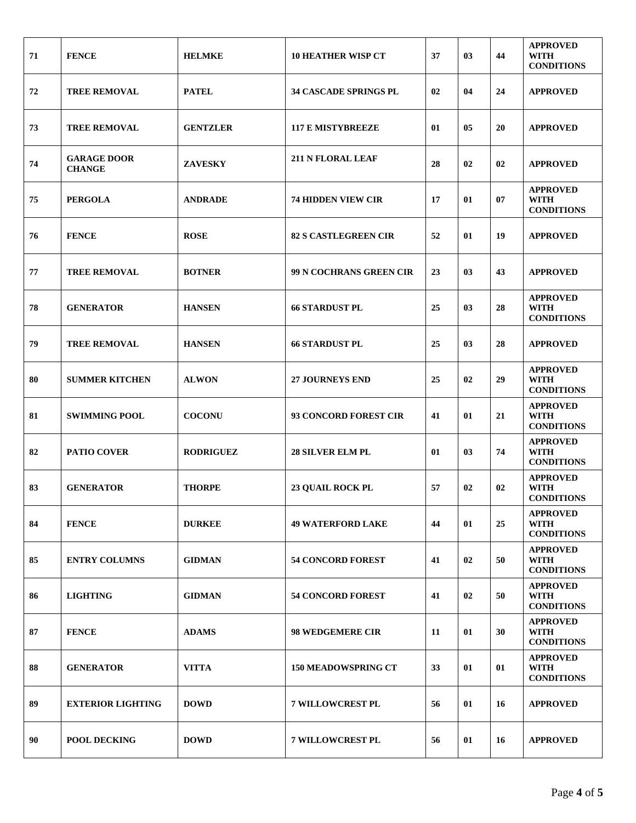| 71 | <b>FENCE</b>                        | <b>HELMKE</b>    | <b>10 HEATHER WISP CT</b>    | 37 | 03 | 44 | <b>APPROVED</b><br>WITH<br><b>CONDITIONS</b>        |
|----|-------------------------------------|------------------|------------------------------|----|----|----|-----------------------------------------------------|
| 72 | <b>TREE REMOVAL</b>                 | <b>PATEL</b>     | <b>34 CASCADE SPRINGS PL</b> | 02 | 04 | 24 | <b>APPROVED</b>                                     |
| 73 | <b>TREE REMOVAL</b>                 | <b>GENTZLER</b>  | <b>117 E MISTYBREEZE</b>     | 01 | 05 | 20 | <b>APPROVED</b>                                     |
| 74 | <b>GARAGE DOOR</b><br><b>CHANGE</b> | <b>ZAVESKY</b>   | <b>211 N FLORAL LEAF</b>     | 28 | 02 | 02 | <b>APPROVED</b>                                     |
| 75 | <b>PERGOLA</b>                      | <b>ANDRADE</b>   | <b>74 HIDDEN VIEW CIR</b>    | 17 | 01 | 07 | <b>APPROVED</b><br><b>WITH</b><br><b>CONDITIONS</b> |
| 76 | <b>FENCE</b>                        | <b>ROSE</b>      | <b>82 S CASTLEGREEN CIR</b>  | 52 | 01 | 19 | <b>APPROVED</b>                                     |
| 77 | <b>TREE REMOVAL</b>                 | <b>BOTNER</b>    | 99 N COCHRANS GREEN CIR      | 23 | 03 | 43 | <b>APPROVED</b>                                     |
| 78 | <b>GENERATOR</b>                    | <b>HANSEN</b>    | <b>66 STARDUST PL</b>        | 25 | 03 | 28 | <b>APPROVED</b><br><b>WITH</b><br><b>CONDITIONS</b> |
| 79 | <b>TREE REMOVAL</b>                 | <b>HANSEN</b>    | <b>66 STARDUST PL</b>        | 25 | 03 | 28 | <b>APPROVED</b>                                     |
| 80 | <b>SUMMER KITCHEN</b>               | <b>ALWON</b>     | <b>27 JOURNEYS END</b>       | 25 | 02 | 29 | <b>APPROVED</b><br><b>WITH</b><br><b>CONDITIONS</b> |
| 81 | <b>SWIMMING POOL</b>                | <b>COCONU</b>    | 93 CONCORD FOREST CIR        | 41 | 01 | 21 | <b>APPROVED</b><br>WITH<br><b>CONDITIONS</b>        |
| 82 | <b>PATIO COVER</b>                  | <b>RODRIGUEZ</b> | <b>28 SILVER ELM PL</b>      | 01 | 03 | 74 | <b>APPROVED</b><br><b>WITH</b><br><b>CONDITIONS</b> |
| 83 | <b>GENERATOR</b>                    | <b>THORPE</b>    | <b>23 QUAIL ROCK PL</b>      | 57 | 02 | 02 | <b>APPROVED</b><br><b>WITH</b><br><b>CONDITIONS</b> |
| 84 | <b>FENCE</b>                        | <b>DURKEE</b>    | <b>49 WATERFORD LAKE</b>     | 44 | 01 | 25 | <b>APPROVED</b><br><b>WITH</b><br><b>CONDITIONS</b> |
| 85 | <b>ENTRY COLUMNS</b>                | <b>GIDMAN</b>    | <b>54 CONCORD FOREST</b>     | 41 | 02 | 50 | <b>APPROVED</b><br><b>WITH</b><br><b>CONDITIONS</b> |
| 86 | <b>LIGHTING</b>                     | <b>GIDMAN</b>    | <b>54 CONCORD FOREST</b>     | 41 | 02 | 50 | <b>APPROVED</b><br><b>WITH</b><br><b>CONDITIONS</b> |
| 87 | <b>FENCE</b>                        | <b>ADAMS</b>     | <b>98 WEDGEMERE CIR</b>      | 11 | 01 | 30 | <b>APPROVED</b><br><b>WITH</b><br><b>CONDITIONS</b> |
| 88 | <b>GENERATOR</b>                    | <b>VITTA</b>     | <b>150 MEADOWSPRING CT</b>   | 33 | 01 | 01 | <b>APPROVED</b><br><b>WITH</b><br><b>CONDITIONS</b> |
| 89 | <b>EXTERIOR LIGHTING</b>            | <b>DOWD</b>      | <b>7 WILLOWCREST PL</b>      | 56 | 01 | 16 | <b>APPROVED</b>                                     |
| 90 | <b>POOL DECKING</b>                 | <b>DOWD</b>      | <b>7 WILLOWCREST PL</b>      | 56 | 01 | 16 | <b>APPROVED</b>                                     |